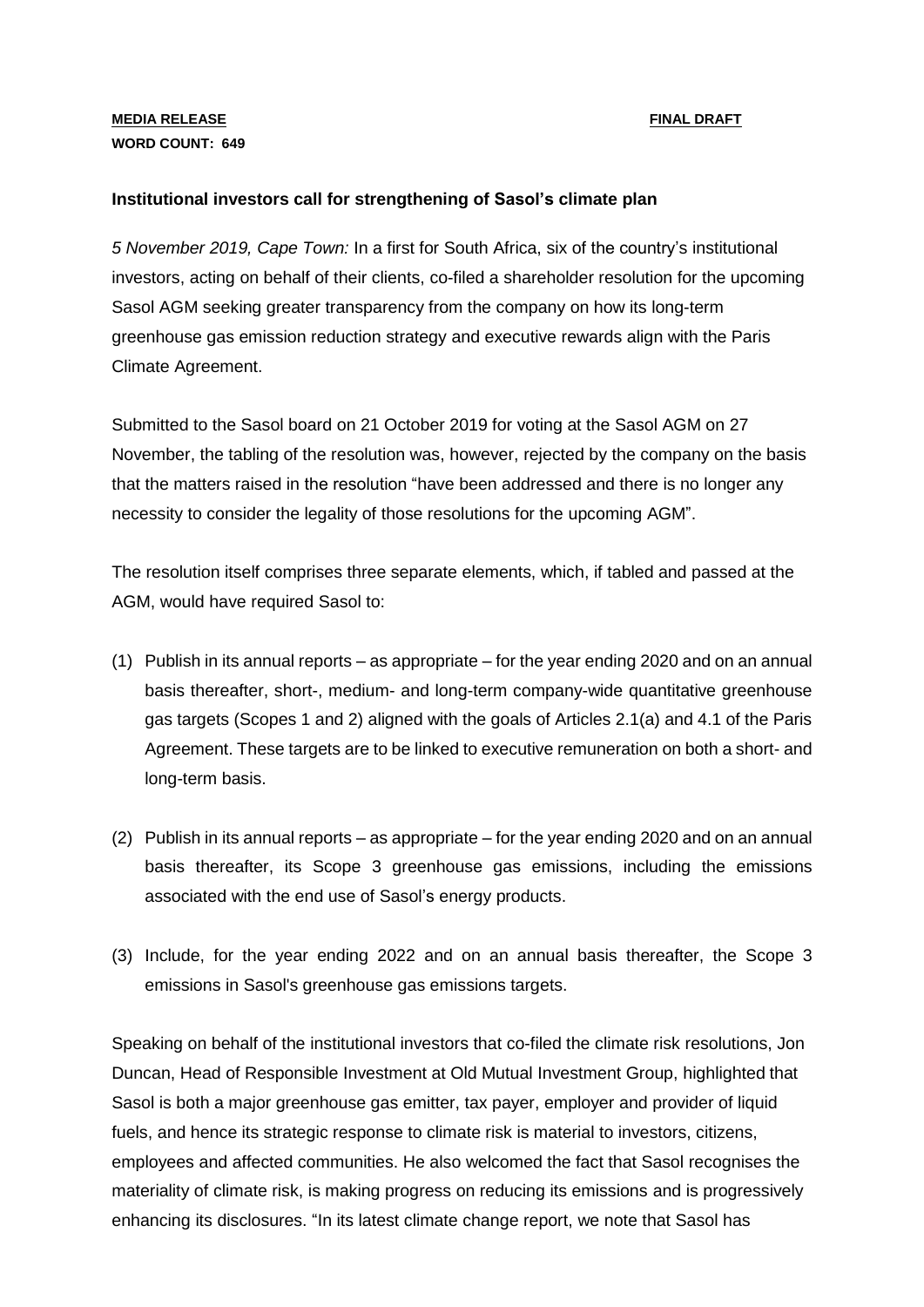## **MEDIA RELEASE** FINAL DRAFT **WORD COUNT: 649**

## **Institutional investors call for strengthening of Sasol's climate plan**

*5 November 2019, Cape Town:* In a first for South Africa, six of the country's institutional investors, acting on behalf of their clients, co-filed a shareholder resolution for the upcoming Sasol AGM seeking greater transparency from the company on how its long-term greenhouse gas emission reduction strategy and executive rewards align with the Paris Climate Agreement.

Submitted to the Sasol board on 21 October 2019 for voting at the Sasol AGM on 27 November, the tabling of the resolution was, however, rejected by the company on the basis that the matters raised in the resolution "have been addressed and there is no longer any necessity to consider the legality of those resolutions for the upcoming AGM".

The resolution itself comprises three separate elements, which, if tabled and passed at the AGM, would have required Sasol to:

- (1) Publish in its annual reports as appropriate for the year ending 2020 and on an annual basis thereafter, short-, medium- and long-term company-wide quantitative greenhouse gas targets (Scopes 1 and 2) aligned with the goals of Articles 2.1(a) and 4.1 of the Paris Agreement. These targets are to be linked to executive remuneration on both a short- and long-term basis.
- (2) Publish in its annual reports as appropriate for the year ending 2020 and on an annual basis thereafter, its Scope 3 greenhouse gas emissions, including the emissions associated with the end use of Sasol's energy products.
- (3) Include, for the year ending 2022 and on an annual basis thereafter, the Scope 3 emissions in Sasol's greenhouse gas emissions targets.

Speaking on behalf of the institutional investors that co-filed the climate risk resolutions, Jon Duncan, Head of Responsible Investment at Old Mutual Investment Group, highlighted that Sasol is both a major greenhouse gas emitter, tax payer, employer and provider of liquid fuels, and hence its strategic response to climate risk is material to investors, citizens, employees and affected communities. He also welcomed the fact that Sasol recognises the materiality of climate risk, is making progress on reducing its emissions and is progressively enhancing its disclosures. "In its latest climate change report, we note that Sasol has